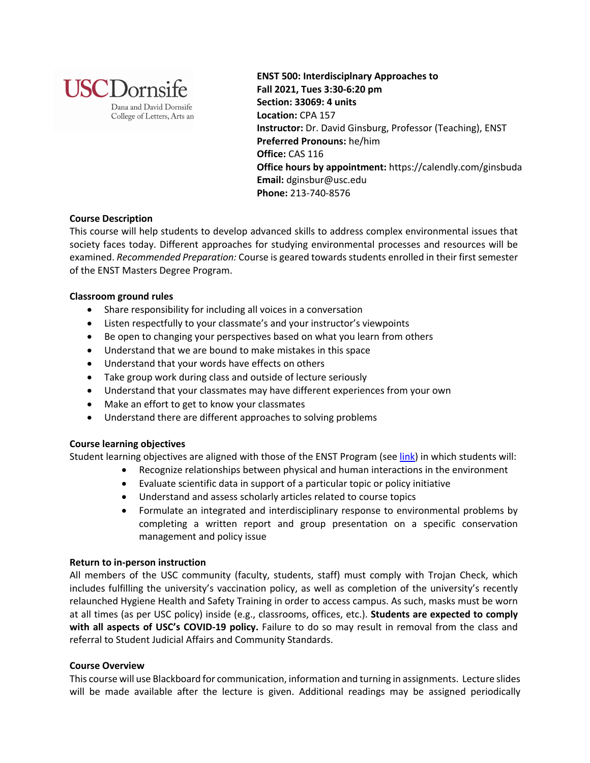

**ENST 500: Interdisciplnary Approaches to Fall 2021, Tues 3:30-6:20 pm Section: 33069: 4 units Location:** CPA 157 **Instructor:** Dr. David Ginsburg, Professor (Teaching), ENST **Preferred Pronouns:** he/him **Office:** CAS 116 **Office hours by appointment:** https://calendly.com/ginsbuda **Email:** dginsbur@usc.edu **Phone:** 213-740-8576

# **Course Description**

This course will help students to develop advanced skills to address complex environmental issues that society faces today. Different approaches for studying environmental processes and resources will be examined. *Recommended Preparation:* Course is geared towards students enrolled in their first semester of the ENST Masters Degree Program.

### **Classroom ground rules**

- Share responsibility for including all voices in a conversation
- Listen respectfully to your classmate's and your instructor's viewpoints
- Be open to changing your perspectives based on what you learn from others
- Understand that we are bound to make mistakes in this space
- Understand that your words have effects on others
- Take group work during class and outside of lecture seriously
- Understand that your classmates may have different experiences from your own
- Make an effort to get to know your classmates
- Understand there are different approaches to solving problems

# **Course learning objectives**

Student learning objectives are aligned with those of the ENST Program (see link) in which students will:

- Recognize relationships between physical and human interactions in the environment
	- Evaluate scientific data in support of a particular topic or policy initiative
	- Understand and assess scholarly articles related to course topics
	- Formulate an integrated and interdisciplinary response to environmental problems by completing a written report and group presentation on a specific conservation management and policy issue

# **Return to in-person instruction**

All members of the USC community (faculty, students, staff) must comply with Trojan Check, which includes fulfilling the university's vaccination policy, as well as completion of the university's recently relaunched Hygiene Health and Safety Training in order to access campus. As such, masks must be worn at all times (as per USC policy) inside (e.g., classrooms, offices, etc.). **Students are expected to comply with all aspects of USC's COVID-19 policy.** Failure to do so may result in removal from the class and referral to Student Judicial Affairs and Community Standards.

# **Course Overview**

This course will use Blackboard for communication, information and turning in assignments. Lecture slides will be made available after the lecture is given. Additional readings may be assigned periodically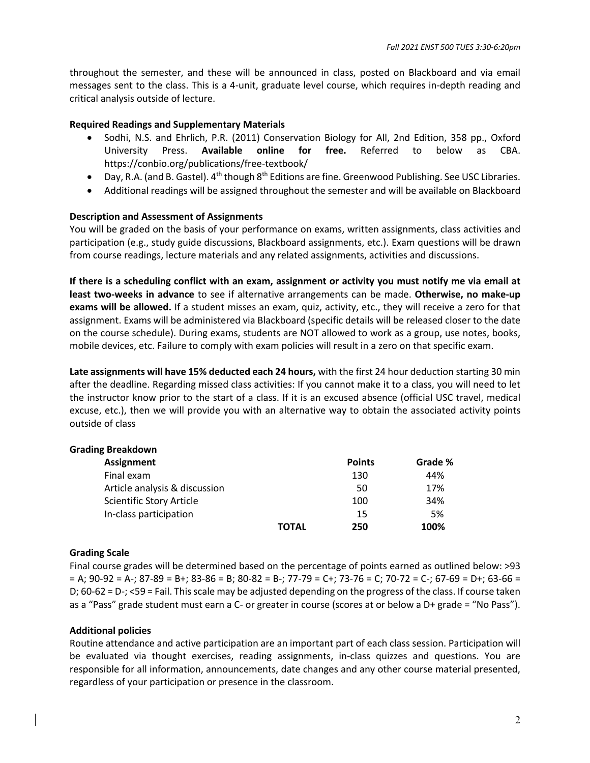throughout the semester, and these will be announced in class, posted on Blackboard and via email messages sent to the class. This is a 4-unit, graduate level course, which requires in-depth reading and critical analysis outside of lecture.

## **Required Readings and Supplementary Materials**

- Sodhi, N.S. and Ehrlich, P.R. (2011) Conservation Biology for All, 2nd Edition, 358 pp., Oxford University Press. **Available online for free.** Referred to below as CBA. https://conbio.org/publications/free-textbook/
- Day, R.A. (and B. Gastel).  $4^{th}$  though  $8^{th}$  Editions are fine. Greenwood Publishing. See USC Libraries.
- Additional readings will be assigned throughout the semester and will be available on Blackboard

### **Description and Assessment of Assignments**

You will be graded on the basis of your performance on exams, written assignments, class activities and participation (e.g., study guide discussions, Blackboard assignments, etc.). Exam questions will be drawn from course readings, lecture materials and any related assignments, activities and discussions.

**If there is a scheduling conflict with an exam, assignment or activity you must notify me via email at least two-weeks in advance** to see if alternative arrangements can be made. **Otherwise, no make-up exams will be allowed.** If a student misses an exam, quiz, activity, etc., they will receive a zero for that assignment. Exams will be administered via Blackboard (specific details will be released closer to the date on the course schedule). During exams, students are NOT allowed to work as a group, use notes, books, mobile devices, etc. Failure to comply with exam policies will result in a zero on that specific exam.

**Late assignments will have 15% deducted each 24 hours,** with the first 24 hour deduction starting 30 min after the deadline. Regarding missed class activities: If you cannot make it to a class, you will need to let the instructor know prior to the start of a class. If it is an excused absence (official USC travel, medical excuse, etc.), then we will provide you with an alternative way to obtain the associated activity points outside of class

| <b>Grading Breakdown</b>      |              |               |         |
|-------------------------------|--------------|---------------|---------|
| <b>Assignment</b>             |              | <b>Points</b> | Grade % |
| Final exam                    |              | 130           | 44%     |
| Article analysis & discussion |              | 50            | 17%     |
| Scientific Story Article      |              | 100           | 34%     |
| In-class participation        |              | 15            | 5%      |
|                               | <b>TOTAL</b> | 250           | 100%    |

#### **Grading Scale**

Final course grades will be determined based on the percentage of points earned as outlined below: >93  $= A$ ; 90-92 = A-; 87-89 = B+; 83-86 = B; 80-82 = B-; 77-79 = C+; 73-76 = C; 70-72 = C-; 67-69 = D+; 63-66 = D; 60-62 = D-; <59 = Fail. This scale may be adjusted depending on the progress of the class. If course taken as a "Pass" grade student must earn a C- or greater in course (scores at or below a D+ grade = "No Pass").

#### **Additional policies**

Routine attendance and active participation are an important part of each class session. Participation will be evaluated via thought exercises, reading assignments, in-class quizzes and questions. You are responsible for all information, announcements, date changes and any other course material presented, regardless of your participation or presence in the classroom.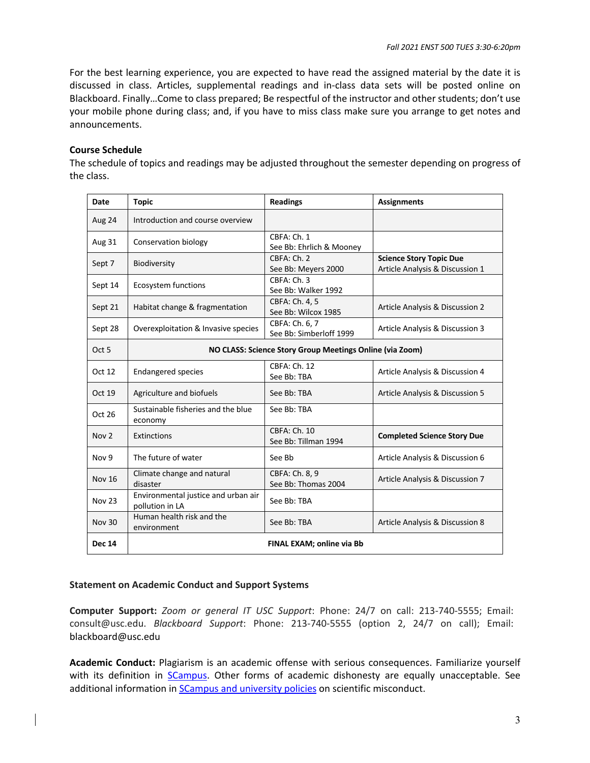For the best learning experience, you are expected to have read the assigned material by the date it is discussed in class. Articles, supplemental readings and in-class data sets will be posted online on Blackboard. Finally…Come to class prepared; Be respectful of the instructor and other students; don't use your mobile phone during class; and, if you have to miss class make sure you arrange to get notes and announcements.

## **Course Schedule**

The schedule of topics and readings may be adjusted throughout the semester depending on progress of the class.

| <b>Date</b>      | <b>Topic</b>                                             | <b>Readings</b>                           | <b>Assignments</b>                                                |  |  |
|------------------|----------------------------------------------------------|-------------------------------------------|-------------------------------------------------------------------|--|--|
| Aug 24           | Introduction and course overview                         |                                           |                                                                   |  |  |
| <b>Aug 31</b>    | Conservation biology                                     | CBFA: Ch. 1<br>See Bb: Ehrlich & Mooney   |                                                                   |  |  |
| Sept 7           | Biodiversity                                             | CBFA: Ch. 2<br>See Bb: Meyers 2000        | <b>Science Story Topic Due</b><br>Article Analysis & Discussion 1 |  |  |
| Sept 14          | Ecosystem functions                                      | CBFA: Ch. 3<br>See Bb: Walker 1992        |                                                                   |  |  |
| Sept 21          | Habitat change & fragmentation                           | CBFA: Ch. 4, 5<br>See Bb: Wilcox 1985     | Article Analysis & Discussion 2                                   |  |  |
| Sept 28          | Overexploitation & Invasive species                      | CBFA: Ch. 6, 7<br>See Bb: Simberloff 1999 | Article Analysis & Discussion 3                                   |  |  |
| Oct <sub>5</sub> | NO CLASS: Science Story Group Meetings Online (via Zoom) |                                           |                                                                   |  |  |
| Oct 12           | <b>Endangered species</b>                                | CBFA: Ch. 12<br>See Bb: TBA               | Article Analysis & Discussion 4                                   |  |  |
| Oct 19           | Agriculture and biofuels                                 | See Bb: TBA                               | Article Analysis & Discussion 5                                   |  |  |
| Oct 26           | Sustainable fisheries and the blue<br>economy            | See Bb: TBA                               |                                                                   |  |  |
| Nov <sub>2</sub> | Extinctions                                              | CBFA: Ch. 10<br>See Bb: Tillman 1994      | <b>Completed Science Story Due</b>                                |  |  |
| Nov 9            | The future of water                                      | See Bb                                    | Article Analysis & Discussion 6                                   |  |  |
| <b>Nov 16</b>    | Climate change and natural<br>disaster                   | CBFA: Ch. 8, 9<br>See Bb: Thomas 2004     | Article Analysis & Discussion 7                                   |  |  |
| <b>Nov 23</b>    | Environmental justice and urban air<br>pollution in LA   | See Bb: TBA                               |                                                                   |  |  |
| <b>Nov 30</b>    | Human health risk and the<br>environment                 | See Bb: TBA                               | Article Analysis & Discussion 8                                   |  |  |
| <b>Dec 14</b>    |                                                          | FINAL EXAM; online via Bb                 |                                                                   |  |  |

# **Statement on Academic Conduct and Support Systems**

**Computer Support:** *Zoom or general IT USC Support*: Phone: 24/7 on call: 213-740-5555; Email: consult@usc.edu. *Blackboard Support*: Phone: 213-740-5555 (option 2, 24/7 on call); Email: blackboard@usc.edu

**Academic Conduct:** Plagiarism is an academic offense with serious consequences. Familiarize yourself with its definition in **SCampus**. Other forms of academic dishonesty are equally unacceptable. See additional information in **SCampus and university policies** on scientific misconduct.